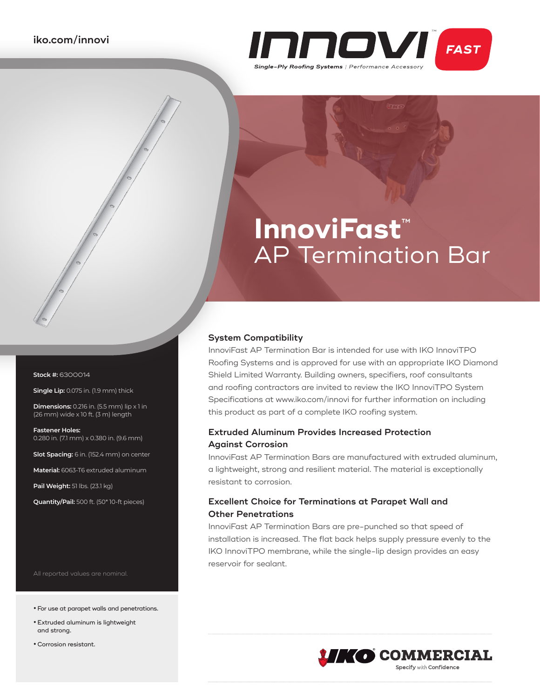

# **InnoviFast**™ AP Termination Bar

#### **System Compatibility**

InnoviFast AP Termination Bar is intended for use with IKO InnoviTPO Roofing Systems and is approved for use with an appropriate IKO Diamond Shield Limited Warranty. Building owners, specifiers, roof consultants and roofing contractors are invited to review the IKO InnoviTPO System Specifications at www.iko.com/innovi for further information on including this product as part of a complete IKO roofing system.

## **Extruded Aluminum Provides Increased Protection Against Corrosion**

InnoviFast AP Termination Bars are manufactured with extruded aluminum, a lightweight, strong and resilient material. The material is exceptionally resistant to corrosion.

### **Excellent Choice for Terminations at Parapet Wall and Other Penetrations**

InnoviFast AP Termination Bars are pre-punched so that speed of installation is increased. The flat back helps supply pressure evenly to the IKO InnoviTPO membrane, while the single-lip design provides an easy reservoir for sealant.



**Stock #:** 6300014

**Single Lip:** 0.075 in. (1.9 mm) thick

**Dimensions:** 0.216 in. (5.5 mm) lip x 1 in (26 mm) wide x 10 ft. (3 m) length

**Fastener Holes:**  0.280 in. (7.1 mm) x 0.380 in. (9.6 mm)

**Slot Spacing:** 6 in. (152.4 mm) on center

**Material:** 6063-T6 extruded aluminum

**Pail Weight:** 51 lbs. (23.1 kg)

**Quantity/Pail:** 500 ft. (50\* 10-ft pieces)

All reported values are nominal.

- **•**For use at parapet walls and penetrations.
- **•** Extruded aluminum is lightweight and strong.
- **•**Corrosion resistant.